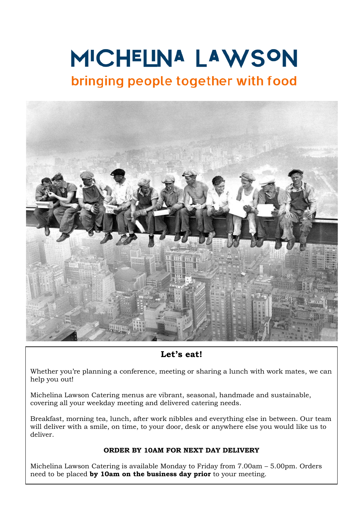# MICHELINA LAWSON bringing people together with food



**Let's eat!**

Whether you're planning a conference, meeting or sharing a lunch with work mates, we can help you out!

Michelina Lawson Catering menus are vibrant, seasonal, handmade and sustainable, covering all your weekday meeting and delivered catering needs.

Breakfast, morning tea, lunch, after work nibbles and everything else in between. Our team will deliver with a smile, on time, to your door, desk or anywhere else you would like us to deliver.

# **ORDER BY 10AM FOR NEXT DAY DELIVERY**

Michelina Lawson Catering is available Monday to Friday from 7.00am – 5.00pm. Orders need to be placed **by 10am on the business day prior** to your meeting.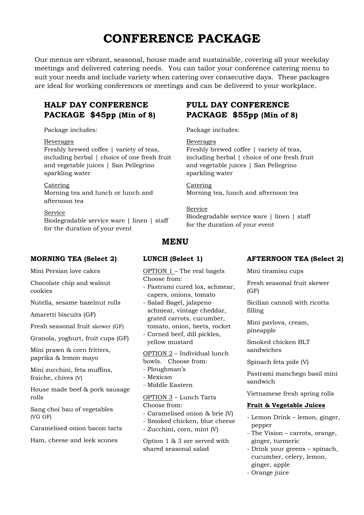# **CONFERENCE PACKAGE**

Our menus are vibrant, seasonal, house made and sustainable, covering all your weekday meetings and delivered catering needs. You can tailor your conference catering menu to suit your needs and include variety when catering over consecutive days. These packages are ideal for working conferences or meetings and can be delivered to your workplace.

# **HALF DAY CONFERENCE PACKAGE \$45pp (Min of 8)**

Package includes:

#### Beverages

Freshly brewed coffee | variety of teas, including herbal | choice of one fresh fruit and vegetable juices | San Pellegrino sparkling water

#### Catering

Morning tea and lunch or lunch and afternoon tea

Service Biodegradable service ware | linen | staff for the duration of your event

#### **MORNING TEA (Select 2)**

Mini Persian love cakes

Chocolate chip and walnut cookies

Nutella, sesame hazelnut rolls

Amaretti biscuits (GF)

Fresh seasonal fruit skewer (GF)

Granola, yoghurt, fruit cups (GF)

Mini prawn & corn fritters, paprika & lemon mayo

Mini zucchini, feta muffins, fraiche, chives (V)

House made beef & pork sausage rolls

Sang choi bau of vegetables (VG GF)

Caramelised onion bacon tarts

Ham, cheese and leek scones

# **FULL DAY CONFERENCE PACKAGE \$55pp (Min of 8)**

Package includes:

Beverages

Freshly brewed coffee | variety of teas, including herbal | choice of one fresh fruit and vegetable juices | San Pellegrino sparkling water

Catering Morning tea, lunch and afternoon tea

#### Service Biodegradable service ware | linen | staff for the duration of your event

# **MENU**

#### **LUNCH (Select 1)**

OPTION 1 – The real bagels Choose from:

- Pastrami cured lox, schmear, capers, onions, tomato
- Salad Bagel, jalapeno schmear, vintage cheddar, grated carrots, cucumber, tomato, onion, beets, rocket
- Corned beef, dill pickles, yellow mustard

OPTION 2 – Individual lunch bowls. Choose from:

- Ploughman's
- Mexican
- Middle Eastern

OPTION 3 – Lunch Tarts Choose from:

- Caramelised onion & brie (V)
- Smoked chicken, blue cheese
- Zucchini, corn, mint (V)

Option 1 & 3 are served with shared seasonal salad

### **AFTERNOON TEA (Select 2)**

Mini tiramisu cups

Fresh seasonal fruit skewer  $(GF)$ 

Sicilian cannoli with ricotta filling

Mini pavlova, cream, pineapple

Smoked chicken BLT sandwiches

Spinach feta pide (V)

Pastrami manchego basil mini sandwich

Vietnamese fresh spring rolls

#### **Fruit & Vegetable Juices**

- Lemon Drink lemon, ginger, pepper
- The Vision carrots, orange, ginger, turmeric
- Drink your greens spinach, cucumber, celery, lemon, ginger, apple
- Orange juice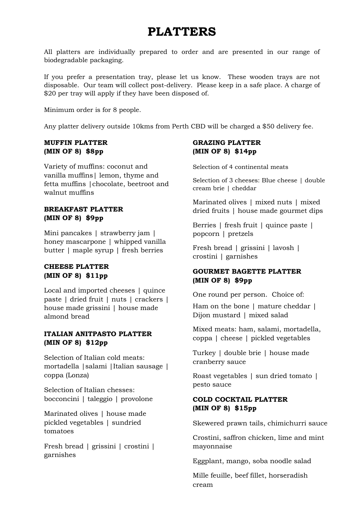# **PLATTERS**

All platters are individually prepared to order and are presented in our range of biodegradable packaging.

If you prefer a presentation tray, please let us know. These wooden trays are not disposable. Our team will collect post-delivery. Please keep in a safe place. A charge of \$20 per tray will apply if they have been disposed of.

Minimum order is for 8 people.

Any platter delivery outside 10kms from Perth CBD will be charged a \$50 delivery fee.

#### **MUFFIN PLATTER (MIN OF 8) \$8pp**

Variety of muffins: coconut and vanilla muffins| lemon, thyme and fetta muffins |chocolate, beetroot and walnut muffins

### **BREAKFAST PLATTER (MIN OF 8) \$9pp**

Mini pancakes | strawberry jam | honey mascarpone | whipped vanilla butter | maple syrup | fresh berries

### **CHEESE PLATTER (MIN OF 8) \$11pp**

Local and imported cheeses | quince paste | dried fruit | nuts | crackers | house made grissini | house made almond bread

# **ITALIAN ANITPASTO PLATTER (MIN OF 8) \$12pp**

Selection of Italian cold meats: mortadella |salami |Italian sausage | coppa (Lonza)

Selection of Italian chesses: bocconcini | taleggio | provolone

Marinated olives | house made pickled vegetables | sundried tomatoes

Fresh bread | grissini | crostini | garnishes

# **GRAZING PLATTER (MIN OF 8) \$14pp**

Selection of 4 continental meats

Selection of 3 cheeses: Blue cheese | double cream brie | cheddar

Marinated olives | mixed nuts | mixed dried fruits | house made gourmet dips

Berries | fresh fruit | quince paste | popcorn | pretzels

Fresh bread | grissini | lavosh | crostini | garnishes

# **GOURMET BAGETTE PLATTER (MIN OF 8) \$9pp**

One round per person. Choice of:

Ham on the bone | mature cheddar | Dijon mustard | mixed salad

Mixed meats: ham, salami, mortadella, coppa | cheese | pickled vegetables

Turkey | double brie | house made cranberry sauce

Roast vegetables | sun dried tomato | pesto sauce

# **COLD COCKTAIL PLATTER (MIN OF 8) \$15pp**

Skewered prawn tails, chimichurri sauce

Crostini, saffron chicken, lime and mint mayonnaise

Eggplant, mango, soba noodle salad

Mille feuille, beef fillet, horseradish cream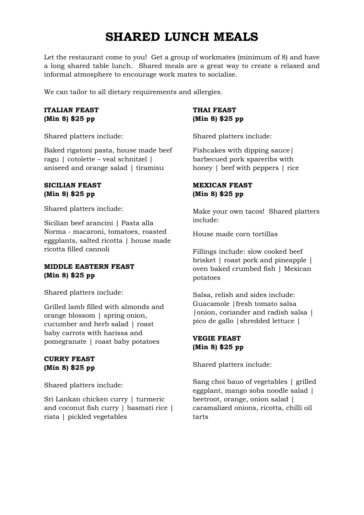# **SHARED LUNCH MEALS**

Let the restaurant come to you! Get a group of workmates (minimum of 8) and have a long shared table lunch. Shared meals are a great way to create a relaxed and informal atmosphere to encourage work mates to socialise.

We can tailor to all dietary requirements and allergies.

### **ITALIAN FEAST (Min 8) \$25 pp**

Shared platters include:

Baked rigatoni pasta, house made beef ragu | cotolette – veal schnitzel | aniseed and orange salad | tiramisu

### **SICILIAN FEAST (Min 8) \$25 pp**

Shared platters include:

Sicilian beef arancini | Pasta alla Norma - macaroni, tomatoes, roasted eggplants, salted ricotta | house made ricotta filled cannoli

# **MIDDLE EASTERN FEAST (Min 8) \$25 pp**

Shared platters include:

Grilled lamb filled with almonds and orange blossom | spring onion, cucumber and herb salad | roast baby carrots with harissa and pomegranate | roast baby potatoes

# **CURRY FEAST (Min 8) \$25 pp**

Shared platters include:

Sri Lankan chicken curry | turmeric and coconut fish curry | basmati rice | riata | pickled vegetables

# **THAI FEAST (Min 8) \$25 pp**

Shared platters include:

Fishcakes with dipping sauce| barbecued pork spareribs with honey | beef with peppers | rice

### **MEXICAN FEAST (Min 8) \$25 pp**

Make your own tacos! Shared platters include:

House made corn tortillas

Fillings include: slow cooked beef brisket | roast pork and pineapple | oven baked crumbed fish | Mexican potatoes

Salsa, relish and sides include: Guacamole |fresh tomato salsa |onion, coriander and radish salsa | pico de gallo |shredded lettuce |

# **VEGIE FEAST (Min 8) \$25 pp**

Shared platters include:

Sang choi bauo of vegetables | grilled eggplant, mango soba noodle salad | beetroot, orange, onion salad | caramalized onions, ricotta, chilli oil tarts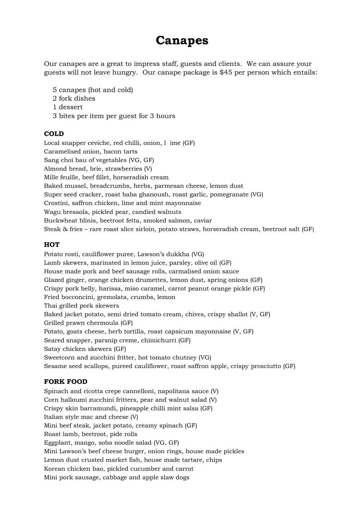# **Canapes**

Our canapes are a great to impress staff, guests and clients. We can assure your guests will not leave hungry. Our canape package is \$45 per person which entails:

- 5 canapes (hot and cold)
- 2 fork dishes
- 1 dessert
- 3 bites per item per guest for 3 hours

#### **COLD**

Local snapper ceviche, red chilli, onion, l ime (GF) Caramelised onion, bacon tarts Sang choi bau of vegetables (VG, GF) Almond bread, brie, strawberries (V) Mille feuille, beef fillet, horseradish cream Baked mussel, breadcrumbs, herbs, parmesan cheese, lemon dust Super seed cracker, roast baba ghanoush, roast garlic, pomegranate (VG) Crostini, saffron chicken, lime and mint mayonnaise Wagu bresaola, pickled pear, candied walnuts Buckwheat blinis, beetroot fetta, smoked salmon, caviar Steak & fries – rare roast slice sirloin, potato straws, horseradish cream, beetroot salt (GF)

#### **HOT**

Potato rosti, cauliflower puree, Lawson's dukkha (VG) Lamb skewers, marinated in lemon juice, parsley, olive oil (GF) House made pork and beef sausage rolls, carmalised onion sauce Glazed ginger, orange chicken drumettes, lemon dust, spring onions (GF) Crispy pork belly, harissa, miso caramel, carrot peanut orange pickle (GF) Fried bocconcini, gremolata, crumbs, lemon Thai grilled pork skewers Baked jacket potato, semi dried tomato cream, chives, crispy shallot (V, GF) Grilled prawn chermoula (GF) Potato, goats cheese, herb tortilla, roast capsicum mayonnaise (V, GF) Seared snapper, parsnip creme, chimichurri (GF) Satay chicken skewers (GF) Sweetcorn and zucchini fritter, hot tomato chutney (VG) Sesame seed scallops, pureed cauliflower, roast saffron apple, crispy prosciutto (GF)

#### **FORK FOOD**

Spinach and ricotta crepe cannelloni, napolitana sauce (V) Corn halloumi zucchini fritters, pear and walnut salad (V) Crispy skin barramundi, pineapple chilli mint salsa (GF) Italian style mac and cheese (V) Mini beef steak, jacket potato, creamy spinach (GF) Roast lamb, beetroot, pide rolls Eggplant, mango, soba noodle salad (VG, GF) Mini Lawson's beef cheese burger, onion rings, house made pickles Lemon dust crusted market fish, house made tartare, chips Korean chicken bao, pickled cucumber and carrot Mini pork sausage, cabbage and apple slaw dogs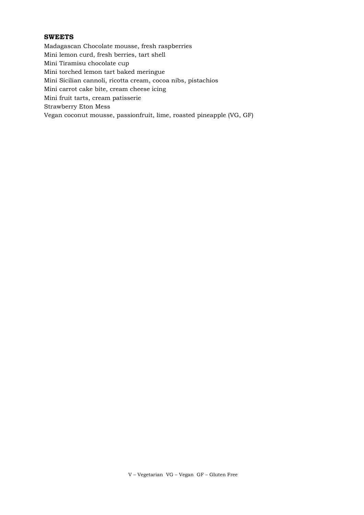#### **SWEETS**

Madagascan Chocolate mousse, fresh raspberries Mini lemon curd, fresh berries, tart shell Mini Tiramisu chocolate cup Mini torched lemon tart baked meringue Mini Sicilian cannoli, ricotta cream, cocoa nibs, pistachios Mini carrot cake bite, cream cheese icing Mini fruit tarts, cream patisserie Strawberry Eton Mess Vegan coconut mousse, passionfruit, lime, roasted pineapple (VG, GF)